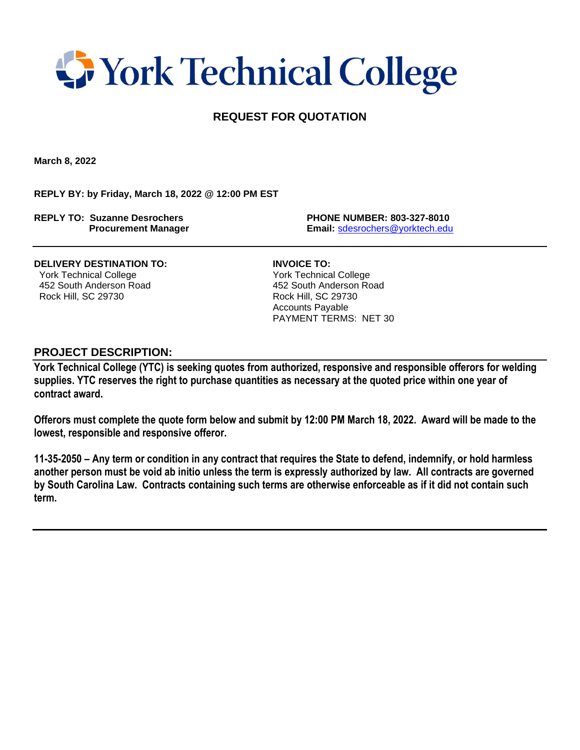## **T** York Technical College

## **REQUEST FOR QUOTATION**

**March 8, 2022**

**REPLY BY: by Friday, March 18, 2022 @ 12:00 PM EST**

**REPLY TO: Suzanne Desrochers PHONE NUMBER: 803-327-8010**

 **Procurement Manager Email:** [sdesrochers@yorktech.edu](mailto:sdesrochers@yorktech.edu)

**DELIVERY DESTINATION TO: INVOICE TO:** York Technical College York Technical College 452 South Anderson Road 452 South Anderson Road Rock Hill, SC 29730 Rock Hill, SC 29730

 Accounts Payable PAYMENT TERMS: NET 30

## **PROJECT DESCRIPTION:**

**York Technical College (YTC) is seeking quotes from authorized, responsive and responsible offerors for welding supplies. YTC reserves the right to purchase quantities as necessary at the quoted price within one year of contract award.** 

**Offerors must complete the quote form below and submit by 12:00 PM March 18, 2022. Award will be made to the lowest, responsible and responsive offeror.** 

**11-35-2050 – Any term or condition in any contract that requires the State to defend, indemnify, or hold harmless another person must be void ab initio unless the term is expressly authorized by law. All contracts are governed by South Carolina Law. Contracts containing such terms are otherwise enforceable as if it did not contain such term.**